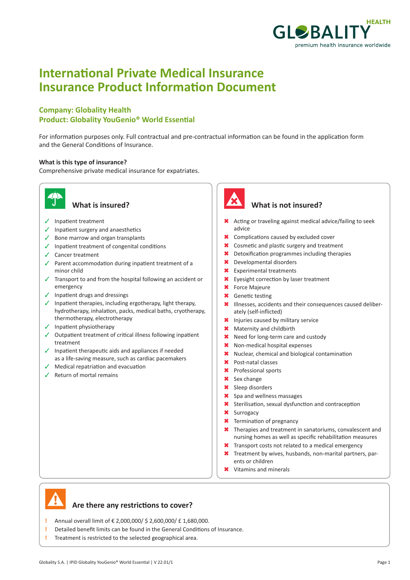

# **International Private Medical Insurance Insurance Product Information Document**

### **Company: Globality Health Product: Globality YouGenio® World Essential**

For information purposes only. Full contractual and pre-contractual information can be found in the application form and the General Conditions of Insurance.

#### **What is this type of insurance?**

Comprehensive private medical insurance for expatriates.



- $\checkmark$  Inpatient treatment
- $\checkmark$  Inpatient surgery and anaesthetics
- $\checkmark$  Bone marrow and organ transplants
- $\checkmark$  Inpatient treatment of congenital conditions
- $\checkmark$  Cancer treatment
- $\checkmark$  Parent accommodation during inpatient treatment of a minor child
- $\checkmark$  Transport to and from the hospital following an accident or emergency
- $\checkmark$  Inpatient drugs and dressings
- $\checkmark$  Inpatient therapies, including ergotherapy, light therapy, hydrotherapy, inhalation, packs, medical baths, cryotherapy, thermotherapy, electrotherapy
- $\checkmark$  Inpatient physiotherapy
- $\checkmark$  Outpatient treatment of critical illness following inpatient treatment
- $\checkmark$  Inpatient therapeutic aids and appliances if needed as a life-saving measure, such as cardiac pacemakers
- $\sqrt{\phantom{a}}$  Medical repatriation and evacuation
- $\sqrt{ }$  Return of mortal remains



#### **What is insured? What is not insured?**

- \* Acting or traveling against medical advice/failing to seek advice
- **\*** Complications caused by excluded cover
- **\*** Cosmetic and plastic surgery and treatment
- $\star$  Detoxification programmes including therapies
- \* Developmental disorders
- **\*** Experimental treatments
- **\*** Eyesight correction by laser treatment
- **\*** Force Majeure
- **\*** Genetic testing
- \* Illnesses, accidents and their consequences caused deliberately (self-inflicted)
- \* Injuries caused by military service
- \* Maternity and childbirth
- **\*** Need for long-term care and custody
- \* Non-medical hospital expenses
- $\star$  Nuclear, chemical and biological contamination
- \* Post-natal classes
- 6 Professional sports
- **\*** Sex change
- **\*** Sleep disorders
- **\*** Spa and wellness massages
- \* Sterilisation, sexual dysfunction and contraception
- **\*** Surrogacy
- **\*** Termination of pregnancy
- \* Therapies and treatment in sanatoriums, convalescent and nursing homes as well as specific rehabilitation measures
- **\*** Transport costs not related to a medical emergency
- **\*** Treatment by wives, husbands, non-marital partners, parents or children
- $\angle$  Vitamins and minerals



#### **Are there any restrictions to cover?**

- **!** Annual overall limit of € 2,000,000/ \$ 2,600,000/ £ 1,680,000.
- **!** Detailed benefit limits can be found in the General Conditions of Insurance.
- **!** Treatment is restricted to the selected geographical area.